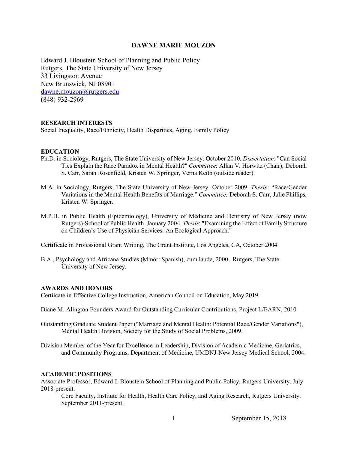### **DAWNE MARIE MOUZON**

Edward J. Bloustein School of Planning and Public Policy Rutgers, The State University of New Jersey 33 Livingston Avenue New Brunswick, NJ 08901 dawne.mouzon@rutgers.edu (848) 932-2969

#### **RESEARCH INTERESTS**

Social Inequality, Race/Ethnicity, Health Disparities, Aging, Family Policy

#### **EDUCATION**

- Ph.D. in Sociology, Rutgers, The State University of New Jersey. October 2010. *Dissertation*: "Can Social Ties Explain the Race Paradox in Mental Health?" *Committee*: Allan V. Horwitz (Chair), Deborah S. Carr, Sarah Rosenfield, Kristen W. Springer, Verna Keith (outside reader).
- M.A. in Sociology, Rutgers, The State University of New Jersey. October 2009. *Thesis:* "Race/Gender Variations in the Mental Health Benefits of Marriage." *Committee:* Deborah S. Carr, Julie Phillips, Kristen W. Springer.
- M.P.H. in Public Health (Epidemiology), University of Medicine and Dentistry of New Jersey (now Rutgers)-School of Public Health. January 2004. *Thesis*: "Examining the Effect of Family Structure on Children's Use of Physician Services: An Ecological Approach."

Certificate in Professional Grant Writing, The Grant Institute, Los Angeles, CA, October 2004

B.A., Psychology and Africana Studies (Minor: Spanish), cum laude, 2000. Rutgers, The State University of New Jersey.

### **AWARDS AND HONORS**

Certiicate in Effective College Instruction, American Council on Education, May 2019

- Diane M. Alington Founders Award for Outstanding Curricular Contributions, Project L/EARN, 2010.
- Outstanding Graduate Student Paper ("Marriage and Mental Health: Potential Race/Gender Variations"), Mental Health Division, Society for the Study of Social Problems, 2009.

Division Member of the Year for Excellence in Leadership, Division of Academic Medicine, Geriatrics, and Community Programs, Department of Medicine, UMDNJ-New Jersey Medical School, 2004.

#### **ACADEMIC POSITIONS**

Associate Professor, Edward J. Bloustein School of Planning and Public Policy, Rutgers University. July 2018-present.

Core Faculty, Institute for Health, Health Care Policy, and Aging Research, Rutgers University. September 2011-present.

1 September 15, 2018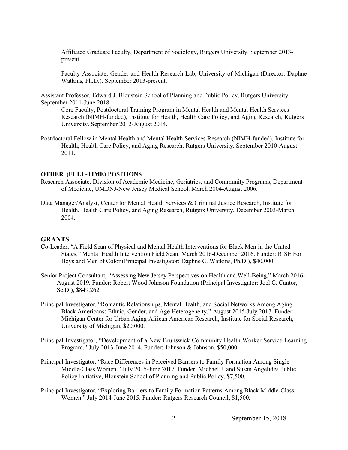Affiliated Graduate Faculty, Department of Sociology, Rutgers University. September 2013 present.

Faculty Associate, Gender and Health Research Lab, University of Michigan (Director: Daphne Watkins, Ph.D.). September 2013-present.

Assistant Professor, Edward J. Bloustein School of Planning and Public Policy, Rutgers University. September 2011-June 2018.

Core Faculty, Postdoctoral Training Program in Mental Health and Mental Health Services Research (NIMH-funded), Institute for Health, Health Care Policy, and Aging Research, Rutgers University. September 2012-August 2014.

Postdoctoral Fellow in Mental Health and Mental Health Services Research (NIMH-funded), Institute for Health, Health Care Policy, and Aging Research, Rutgers University. September 2010-August 2011.

#### **OTHER (FULL-TIME) POSITIONS**

- Research Associate, Division of Academic Medicine, Geriatrics, and Community Programs, Department of Medicine, UMDNJ-New Jersey Medical School. March 2004-August 2006.
- Data Manager/Analyst, Center for Mental Health Services & Criminal Justice Research, Institute for Health, Health Care Policy, and Aging Research, Rutgers University. December 2003-March 2004.

#### **GRANTS**

- Co-Leader, "A Field Scan of Physical and Mental Health Interventions for Black Men in the United States," Mental Health Intervention Field Scan. March 2016-December 2016. Funder: RISE For Boys and Men of Color (Principal Investigator: Daphne C. Watkins, Ph.D.), \$40,000.
- Senior Project Consultant, "Assessing New Jersey Perspectives on Health and Well-Being." March 2016- August 2019. Funder: Robert Wood Johnson Foundation (Principal Investigator: Joel C. Cantor, Sc.D.), \$849,262.
- Principal Investigator, "Romantic Relationships, Mental Health, and Social Networks Among Aging Black Americans: Ethnic, Gender, and Age Heterogeneity." August 2015-July 2017. Funder: Michigan Center for Urban Aging African American Research, Institute for Social Research, University of Michigan, \$20,000.
- Principal Investigator, "Development of a New Brunswick Community Health Worker Service Learning Program." July 2013-June 2014. Funder: Johnson & Johnson, \$50,000.
- Principal Investigator, "Race Differences in Perceived Barriers to Family Formation Among Single Middle-Class Women." July 2015-June 2017. Funder: Michael J. and Susan Angelides Public Policy Initiative, Bloustein School of Planning and Public Policy, \$7,500.
- Principal Investigator, "Exploring Barriers to Family Formation Patterns Among Black Middle-Class Women." July 2014-June 2015. Funder: Rutgers Research Council, \$1,500.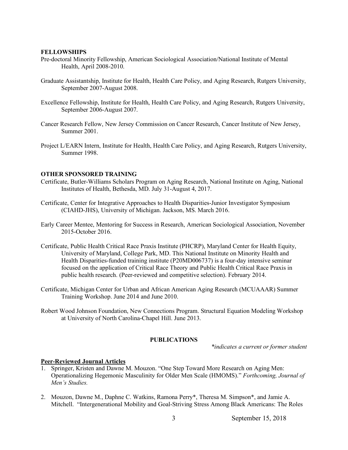#### **FELLOWSHIPS**

- Pre-doctoral Minority Fellowship, American Sociological Association/National Institute of Mental Health, April 2008-2010.
- Graduate Assistantship, Institute for Health, Health Care Policy, and Aging Research, Rutgers University, September 2007-August 2008.
- Excellence Fellowship, Institute for Health, Health Care Policy, and Aging Research, Rutgers University, September 2006-August 2007.
- Cancer Research Fellow, New Jersey Commission on Cancer Research, Cancer Institute of New Jersey, Summer 2001.
- Project L/EARN Intern, Institute for Health, Health Care Policy, and Aging Research, Rutgers University, Summer 1998.

#### **OTHER SPONSORED TRAINING**

- Certificate, Butler-Williams Scholars Program on Aging Research, National Institute on Aging, National Institutes of Health, Bethesda, MD. July 31-August 4, 2017.
- Certificate, Center for Integrative Approaches to Health Disparities-Junior Investigator Symposium (CIAHD-JHS), University of Michigan. Jackson, MS. March 2016.
- Early Career Mentee, Mentoring for Success in Research, American Sociological Association, November 2015-October 2016.
- Certificate, Public Health Critical Race Praxis Institute (PHCRP), Maryland Center for Health Equity, University of Maryland, College Park, MD. This National Institute on Minority Health and Health Disparities-funded training institute (P20MD006737) is a four-day intensive seminar focused on the application of Critical Race Theory and Public Health Critical Race Praxis in public health research. (Peer-reviewed and competitive selection). February 2014.
- Certificate, Michigan Center for Urban and African American Aging Research (MCUAAAR) Summer Training Workshop. June 2014 and June 2010.
- Robert Wood Johnson Foundation, New Connections Program. Structural Equation Modeling Workshop at University of North Carolina-Chapel Hill. June 2013.

#### **PUBLICATIONS**

*\*indicates a current or former student*

#### **Peer-Reviewed Journal Articles**

- 1. Springer, Kristen and Dawne M. Mouzon. "One Step Toward More Research on Aging Men: Operationalizing Hegemonic Masculinity for Older Men Scale (HMOMS)." *Forthcoming, Journal of Men's Studies.*
- 2. Mouzon, Dawne M., Daphne C. Watkins, Ramona Perry\*, Theresa M. Simpson\*, and Jamie A. Mitchell. "Intergenerational Mobility and Goal-Striving Stress Among Black Americans: The Roles

3 September 15, 2018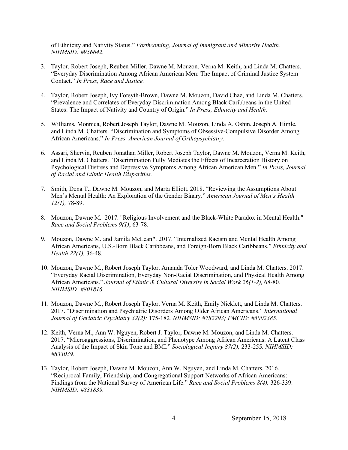of Ethnicity and Nativity Status." *Forthcoming, Journal of Immigrant and Minority Health. NIHMSID: #956642.*

- 3. Taylor, Robert Joseph, Reuben Miller, Dawne M. Mouzon, Verna M. Keith, and Linda M. Chatters. "Everyday Discrimination Among African American Men: The Impact of Criminal Justice System Contact." *In Press, Race and Justice.*
- 4. Taylor, Robert Joseph, Ivy Forsyth-Brown, Dawne M. Mouzon, David Chae, and Linda M. Chatters. "Prevalence and Correlates of Everyday Discrimination Among Black Caribbeans in the United States: The Impact of Nativity and Country of Origin." *In Press, Ethnicity and Health.*
- 5. Williams, Monnica, Robert Joseph Taylor, Dawne M. Mouzon, Linda A. Oshin, Joseph A. Himle, and Linda M. Chatters. "Discrimination and Symptoms of Obsessive-Compulsive Disorder Among African Americans." *In Press, American Journal of Orthopsychiatry.*
- 6. Assari, Shervin, Reuben Jonathan Miller, Robert Joseph Taylor, Dawne M. Mouzon, Verna M. Keith, and Linda M. Chatters. "Discrimination Fully Mediates the Effects of Incarceration History on Psychological Distress and Depressive Symptoms Among African American Men." *In Press, Journal of Racial and Ethnic Health Disparities.*
- 7. Smith, Dena T., Dawne M. Mouzon, and Marta Elliott. 2018. "Reviewing the Assumptions About Men's Mental Health: An Exploration of the Gender Binary." *American Journal of Men's Health 12(1),* 78-89.
- 8. Mouzon, Dawne M. 2017. "Religious Involvement and the Black-White Paradox in Mental Health." *Race and Social Problems 9(1)*, 63-78.
- 9. Mouzon, Dawne M. and Jamila McLean\*. 2017. "Internalized Racism and Mental Health Among African Americans, U.S.-Born Black Caribbeans, and Foreign-Born Black Caribbeans." *Ethnicity and Health 22(1),* 36-48.
- 10. Mouzon, Dawne M., Robert Joseph Taylor, Amanda Toler Woodward, and Linda M. Chatters. 2017. "Everyday Racial Discrimination, Everyday Non-Racial Discrimination, and Physical Health Among African Americans." *Journal of Ethnic & Cultural Diversity in Social Work 26(1-2),* 68-80*. NIHMSID: #801816.*
- 11. Mouzon, Dawne M., Robert Joseph Taylor, Verna M. Keith, Emily Nicklett, and Linda M. Chatters. 2017. "Discrimination and Psychiatric Disorders Among Older African Americans." *International Journal of Geriatric Psychiatry 32(2):* 175-182*. NIHMSID: #782293; PMCID: #5002385.*
- 12. Keith, Verna M., Ann W. Nguyen, Robert J. Taylor, Dawne M. Mouzon, and Linda M. Chatters. 2017. "Microaggressions, Discrimination, and Phenotype Among African Americans: A Latent Class Analysis of the Impact of Skin Tone and BMI." *Sociological Inquiry 87(2),* 233-255*. NIHMSID: #833039.*
- 13. Taylor, Robert Joseph, Dawne M. Mouzon, Ann W. Nguyen, and Linda M. Chatters. 2016. "Reciprocal Family, Friendship, and Congregational Support Networks of African Americans: Findings from the National Survey of American Life." *Race and Social Problems 8(4),* 326-339. *NIHMSID: #831839.*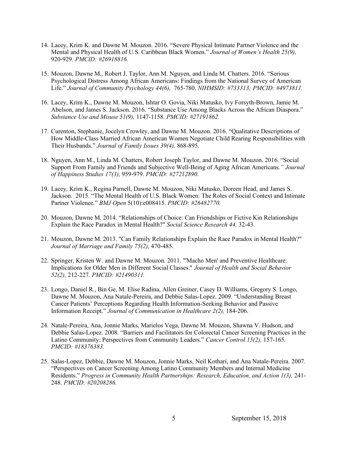- 14. Lacey, Krim K. and Dawne M. Mouzon. 2016. "Severe Physical Intimate Partner Violence and the Mental and Physical Health of U.S. Caribbean Black Women." *Journal of Women's Health 25(9),* 920-929*. PMCID: #26918816.*
- 15. Mouzon, Dawne M., Robert J. Taylor, Ann M. Nguyen, and Linda M. Chatters. 2016. "Serious Psychological Distress Among African Americans: Findings from the National Survey of American Life." *Journal of Community Psychology 44(6),* 765-780. *NIHMSID: #733313; PMCID: #4973811.*
- 16. Lacey, Krim K., Dawne M. Mouzon, Ishtar O. Govia, Niki Matusko, Ivy Forsyth-Brown, Jamie M. Abelson, and James S. Jackson. 2016. "Substance Use Among Blacks Across the African Diaspora." *Substance Use and Misuse 51(9),* 1147-1158*. PMCID: #27191862.*
- 17. Curenton, Stephanie, Jocelyn Crowley, and Dawne M. Mouzon. 2016. "Qualitative Descriptions of How Middle-Class Married African American Women Negotiate Child Rearing Responsibilities with Their Husbands." *Journal of Family Issues 39(4),* 868-895.
- 18. Nguyen, Ann M., Linda M. Chatters, Robert Joseph Taylor, and Dawne M. Mouzon. 2016. "Social Support From Family and Friends and Subjective Well-Being of Aging African Americans*." Journal of Happiness Studies 17(3),* 959-979. *PMCID: #27212890.*
- 19. Lacey, Krim K., Regina Parnell, Dawne M. Mouzon, Niki Matusko, Doreen Head, and James S. Jackson. 2015. "The Mental Health of U.S. Black Women: The Roles of Social Context and Intimate Partner Violence." *BMJ Open* 5(10):e008415. *PMCID: #26482770.*
- 20. Mouzon, Dawne M. 2014. "Relationships of Choice: Can Friendships or Fictive Kin Relationships Explain the Race Paradox in Mental Health?" *Social Science Research 44,* 32-43.
- 21. Mouzon, Dawne M. 2013. "Can Family Relationships Explain the Race Paradox in Mental Health?" *Journal of Marriage and Family 75(2),* 470-485.
- 22. Springer, Kristen W. and Dawne M. Mouzon. 2011. "'Macho Men' and Preventive Healthcare: Implications for Older Men in Different Social Classes." *Journal of Health and Social Behavior 52(2),* 212-227*. PMCID: #21490311.*
- 23. Longo, Daniel R., Bin Ge, M. Elise Radina, Allen Greiner, Casey D. Williams, Gregory S. Longo, Dawne M. Mouzon, Ana Natale-Pereira, and Debbie Salas-Lopez. 2009. "Understanding Breast Cancer Patients' Perceptions Regarding Health Information-Seeking Behavior and Passive Information Receipt." *Journal of Communication in Healthcare 2(2),* 184-206.
- 24. Natale-Pereira, Ana, Jonnie Marks, Marielos Vega, Dawne M. Mouzon, Shawna V. Hudson, and Debbie Salas-Lopez. 2008. "Barriers and Facilitators for Colorectal Cancer Screening Practices in the Latino Community: Perspectives from Community Leaders." *Cancer Control 15(2),* 157-165. *PMCID: #18376383.*
- 25. Salas-Lopez, Debbie, Dawne M. Mouzon, Jonnie Marks, Neil Kothari, and Ana Natale-Pereira. 2007. "Perspectives on Cancer Screening Among Latino Community Members and Internal Medicine Residents." *Progress in Community Health Partnerships: Research, Education, and Action 1(3),* 241- 248. *PMCID: #20208286.*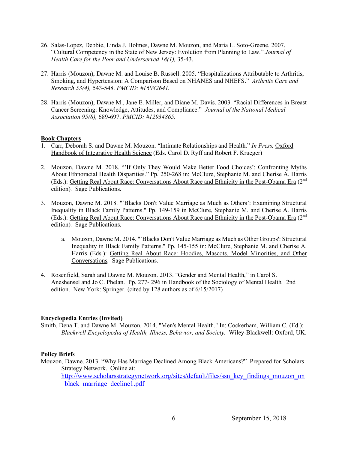- 26. Salas-Lopez, Debbie, Linda J. Holmes, Dawne M. Mouzon, and Maria L. Soto-Greene. 2007. "Cultural Competency in the State of New Jersey: Evolution from Planning to Law." *Journal of Health Care for the Poor and Underserved 18(1),* 35-43.
- 27. Harris (Mouzon), Dawne M. and Louise B. Russell. 2005. "Hospitalizations Attributable to Arthritis, Smoking, and Hypertension: A Comparison Based on NHANES and NHEFS." *Arthritis Care and Research 53(4),* 543-548. *PMCID: #16082641.*
- 28. Harris (Mouzon), Dawne M., Jane E. Miller, and Diane M. Davis. 2003. "Racial Differences in Breast Cancer Screening: Knowledge, Attitudes, and Compliance." *Journal of the National Medical Association 95(8),* 689-697. *PMCID: #12934865.*

### **Book Chapters**

- 1. Carr, Deborah S. and Dawne M. Mouzon. "Intimate Relationships and Health." *In Press,* Oxford Handbook of Integrative Health Science (Eds. Carol D. Ryff and Robert F. Krueger)
- 2. Mouzon, Dawne M. 2018. "'If Only They Would Make Better Food Choices': Confronting Myths About Ethnoracial Health Disparities." Pp. 250-268 in: McClure, Stephanie M. and Cherise A. Harris (Eds.): Getting Real About Race: Conversations About Race and Ethnicity in the Post-Obama Era (2<sup>nd</sup>) edition)*.* Sage Publications.
- 3. Mouzon, Dawne M. 2018. "'Blacks Don't Value Marriage as Much as Others': Examining Structural Inequality in Black Family Patterns." Pp. 149-159 in McClure, Stephanie M. and Cherise A. Harris (Eds.): Getting Real About Race: Conversations About Race and Ethnicity in the Post-Obama Era (2<sup>nd</sup>) edition)*.* Sage Publications.
	- a. Mouzon, Dawne M. 2014. "'Blacks Don't Value Marriage as Much as Other Groups': Structural Inequality in Black Family Patterns." Pp. 145-155 in: McClure, Stephanie M. and Cherise A. Harris (Eds.): Getting Real About Race: Hoodies, Mascots, Model Minorities, and Other Conversations*.* Sage Publications.
- 4. Rosenfield, Sarah and Dawne M. Mouzon. 2013. "Gender and Mental Health," in Carol S. Aneshensel and Jo C. Phelan. Pp. 277- 296 in Handbook of the Sociology of Mental Health*.* 2nd edition. New York: Springer. (cited by 128 authors as of 6/15/2017)

### **Encyclopedia Entries (Invited)**

Smith, Dena T. and Dawne M. Mouzon. 2014. "Men's Mental Health." In: Cockerham, William C. (Ed.): *Blackwell Encyclopedia of Health, Illness, Behavior, and Society.* Wiley-Blackwell: Oxford, UK.

# **Policy Briefs**

Mouzon, Dawne. 2013. "Why Has Marriage Declined Among Black Americans?" Prepared for Scholars Strategy Network. Online at: http://www.scholarsstrategynetwork.org/sites/default/files/ssn\_key\_findings\_mouzon\_on black marriage decline1.pdf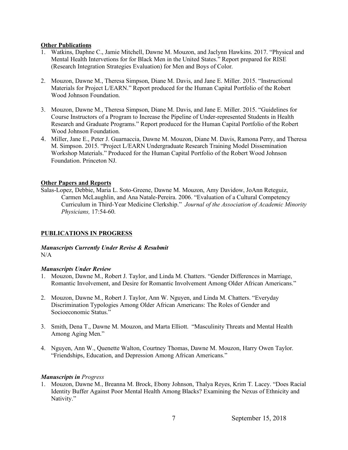## **Other Publications**

- 1. Watkins, Daphne C., Jamie Mitchell, Dawne M. Mouzon, and Jaclynn Hawkins. 2017. "Physical and Mental Health Intervetions for for Black Men in the United States." Report prepared for RISE (Research Integration Strategies Evaluation) for Men and Boys of Color.
- 2. Mouzon, Dawne M., Theresa Simpson, Diane M. Davis, and Jane E. Miller. 2015. "Instructional Materials for Project L/EARN." Report produced for the Human Capital Portfolio of the Robert Wood Johnson Foundation.
- 3. Mouzon, Dawne M., Theresa Simpson, Diane M. Davis, and Jane E. Miller. 2015. "Guidelines for Course Instructors of a Program to Increase the Pipeline of Under-represented Students in Health Research and Graduate Programs." Report produced for the Human Capital Portfolio of the Robert Wood Johnson Foundation.
- 4. Miller, Jane E., Peter J. Guarnaccia, Dawne M. Mouzon, Diane M. Davis, Ramona Perry, and Theresa M. Simpson. 2015. "Project L/EARN Undergraduate Research Training Model Dissemination Workshop Materials." Produced for the Human Capital Portfolio of the Robert Wood Johnson Foundation. Princeton NJ.

## **Other Papers and Reports**

Salas-Lopez, Debbie, Maria L. Soto-Greene, Dawne M. Mouzon, Amy Davidow, JoAnn Reteguiz, Carmen McLaughlin, and Ana Natale-Pereira. 2006. "Evaluation of a Cultural Competency Curriculum in Third-Year Medicine Clerkship." *Journal of the Association of Academic Minority Physicians,* 17:54-60.

# **PUBLICATIONS IN PROGRESS**

## *Manuscripts Currently Under Revise & Resubmit*  $N/A$

### *Manuscripts Under Review*

- 1. Mouzon, Dawne M., Robert J. Taylor, and Linda M. Chatters. "Gender Differences in Marriage, Romantic Involvement, and Desire for Romantic Involvement Among Older African Americans."
- 2. Mouzon, Dawne M., Robert J. Taylor, Ann W. Nguyen, and Linda M. Chatters. "Everyday Discrimination Typologies Among Older African Americans: The Roles of Gender and Socioeconomic Status."
- 3. Smith, Dena T., Dawne M. Mouzon, and Marta Elliott. "Masculinity Threats and Mental Health Among Aging Men."
- 4. Nguyen, Ann W., Quenette Walton, Courtney Thomas, Dawne M. Mouzon, Harry Owen Taylor. "Friendships, Education, and Depression Among African Americans."

### *Manuscripts in Progress*

1. Mouzon, Dawne M., Breanna M. Brock, Ebony Johnson, Thalya Reyes, Krim T. Lacey. "Does Racial Identity Buffer Against Poor Mental Health Among Blacks? Examining the Nexus of Ethnicity and Nativity."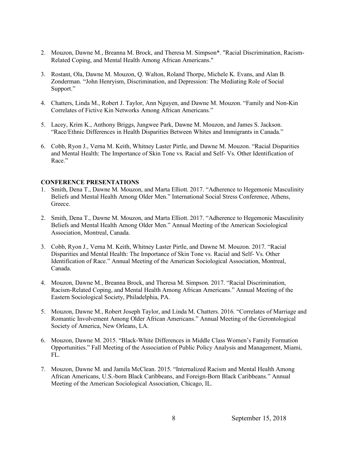- 2. Mouzon, Dawne M., Breanna M. Brock, and Theresa M. Simpson\*. "Racial Discrimination, Racism-Related Coping, and Mental Health Among African Americans."
- 3. Rostant, Ola, Dawne M. Mouzon, Q. Walton, Roland Thorpe, Michele K. Evans, and Alan B. Zonderman. "John Henryism, Discrimination, and Depression: The Mediating Role of Social Support."
- 4. Chatters, Linda M., Robert J. Taylor, Ann Nguyen, and Dawne M. Mouzon. "Family and Non-Kin Correlates of Fictive Kin Networks Among African Americans."
- 5. Lacey, Krim K., Anthony Briggs, Jungwee Park, Dawne M. Mouzon, and James S. Jackson. "Race/Ethnic Differences in Health Disparities Between Whites and Immigrants in Canada."
- 6. Cobb, Ryon J., Verna M. Keith, Whitney Laster Pirtle, and Dawne M. Mouzon. "Racial Disparities and Mental Health: The Importance of Skin Tone vs. Racial and Self- Vs. Other Identification of Race"

#### **CONFERENCE PRESENTATIONS**

- 1. Smith, Dena T., Dawne M. Mouzon, and Marta Elliott. 2017. "Adherence to Hegemonic Masculinity Beliefs and Mental Health Among Older Men." International Social Stress Conference, Athens, Greece.
- 2. Smith, Dena T., Dawne M. Mouzon, and Marta Elliott. 2017. "Adherence to Hegemonic Masculinity Beliefs and Mental Health Among Older Men." Annual Meeting of the American Sociological Association, Montreal, Canada.
- 3. Cobb, Ryon J., Verna M. Keith, Whitney Laster Pirtle, and Dawne M. Mouzon. 2017. "Racial Disparities and Mental Health: The Importance of Skin Tone vs. Racial and Self- Vs. Other Identification of Race." Annual Meeting of the American Sociological Association, Montreal, Canada.
- 4. Mouzon, Dawne M., Breanna Brock, and Theresa M. Simpson. 2017. "Racial Discrimination, Racism-Related Coping, and Mental Health Among African Americans." Annual Meeting of the Eastern Sociological Society, Philadelphia, PA.
- 5. Mouzon, Dawne M., Robert Joseph Taylor, and Linda M. Chatters. 2016. "Correlates of Marriage and Romantic Involvement Among Older African Americans." Annual Meeting of the Gerontological Society of America, New Orleans, LA.
- 6. Mouzon, Dawne M. 2015. "Black-White Differences in Middle Class Women's Family Formation Opportunities." Fall Meeting of the Association of Public Policy Analysis and Management, Miami, FL.
- 7. Mouzon, Dawne M. and Jamila McClean. 2015. "Internalized Racism and Mental Health Among African Americans, U.S.-born Black Caribbeans, and Foreign-Born Black Caribbeans." Annual Meeting of the American Sociological Association, Chicago, IL.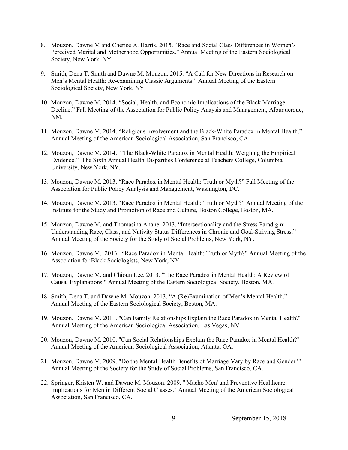- 8. Mouzon, Dawne M and Cherise A. Harris. 2015. "Race and Social Class Differences in Women's Perceived Marital and Motherhood Opportunities." Annual Meeting of the Eastern Sociological Society, New York, NY.
- 9. Smith, Dena T. Smith and Dawne M. Mouzon. 2015. "A Call for New Directions in Research on Men's Mental Health: Re-examining Classic Arguments." Annual Meeting of the Eastern Sociological Society, New York, NY.
- 10. Mouzon, Dawne M. 2014. "Social, Health, and Economic Implications of the Black Marriage Decline." Fall Meeting of the Association for Public Policy Anaysis and Management, Albuquerque, NM.
- 11. Mouzon, Dawne M. 2014. "Religious Involvement and the Black-White Paradox in Mental Health." Annual Meeting of the American Sociological Association, San Francisco, CA.
- 12. Mouzon, Dawne M. 2014. "The Black-White Paradox in Mental Health: Weighing the Empirical Evidence." The Sixth Annual Health Disparities Conference at Teachers College, Columbia University, New York, NY.
- 13. Mouzon, Dawne M. 2013. "Race Paradox in Mental Health: Truth or Myth?" Fall Meeting of the Association for Public Policy Analysis and Management, Washington, DC.
- 14. Mouzon, Dawne M. 2013. "Race Paradox in Mental Health: Truth or Myth?" Annual Meeting of the Institute for the Study and Promotion of Race and Culture, Boston College, Boston, MA.
- 15. Mouzon, Dawne M. and Thomasina Anane. 2013. "Intersectionality and the Stress Paradigm: Understanding Race, Class, and Nativity Status Differences in Chronic and Goal-Striving Stress." Annual Meeting of the Society for the Study of Social Problems, New York, NY.
- 16. Mouzon, Dawne M. 2013. "Race Paradox in Mental Health: Truth or Myth?" Annual Meeting of the Association for Black Sociologists, New York, NY.
- 17. Mouzon, Dawne M. and Chioun Lee. 2013. "The Race Paradox in Mental Health: A Review of Causal Explanations." Annual Meeting of the Eastern Sociological Society, Boston, MA.
- 18. Smith, Dena T. and Dawne M. Mouzon. 2013. "A (Re)Examination of Men's Mental Health." Annual Meeting of the Eastern Sociological Society, Boston, MA.
- 19. Mouzon, Dawne M. 2011. "Can Family Relationships Explain the Race Paradox in Mental Health?" Annual Meeting of the American Sociological Association, Las Vegas, NV.
- 20. Mouzon, Dawne M. 2010. "Can Social Relationships Explain the Race Paradox in Mental Health?" Annual Meeting of the American Sociological Association, Atlanta, GA.
- 21. Mouzon, Dawne M. 2009. "Do the Mental Health Benefits of Marriage Vary by Race and Gender?" Annual Meeting of the Society for the Study of Social Problems, San Francisco, CA.
- 22. Springer, Kristen W. and Dawne M. Mouzon. 2009. "'Macho Men' and Preventive Healthcare: Implications for Men in Different Social Classes." Annual Meeting of the American Sociological Association, San Francisco, CA.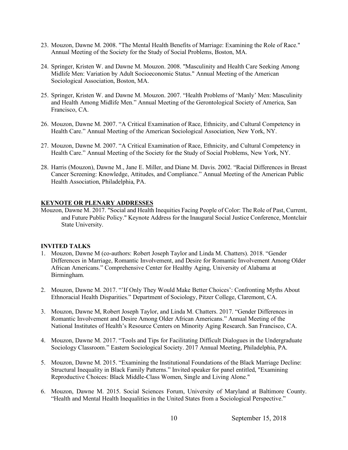- 23. Mouzon, Dawne M. 2008. "The Mental Health Benefits of Marriage: Examining the Role of Race." Annual Meeting of the Society for the Study of Social Problems, Boston, MA.
- 24. Springer, Kristen W. and Dawne M. Mouzon. 2008. "Masculinity and Health Care Seeking Among Midlife Men: Variation by Adult Socioeconomic Status." Annual Meeting of the American Sociological Association, Boston, MA.
- 25. Springer, Kristen W. and Dawne M. Mouzon. 2007. "Health Problems of 'Manly' Men: Masculinity and Health Among Midlife Men." Annual Meeting of the Gerontological Society of America, San Francisco, CA.
- 26. Mouzon, Dawne M. 2007. "A Critical Examination of Race, Ethnicity, and Cultural Competency in Health Care." Annual Meeting of the American Sociological Association, New York, NY.
- 27. Mouzon, Dawne M. 2007. "A Critical Examination of Race, Ethnicity, and Cultural Competency in Health Care." Annual Meeting of the Society for the Study of Social Problems, New York, NY.
- 28. Harris (Mouzon), Dawne M., Jane E. Miller, and Diane M. Davis. 2002. "Racial Differences in Breast Cancer Screening: Knowledge, Attitudes, and Compliance." Annual Meeting of the American Public Health Association, Philadelphia, PA.

### **KEYNOTE OR PLENARY ADDRESSES**

Mouzon, Dawne M. 2017. "Social and Health Inequities Facing People of Color: The Role of Past, Current, and Future Public Policy." Keynote Address for the Inaugural Social Justice Conference, Montclair State University.

### **INVITED TALKS**

- 1. Mouzon, Dawne M (co-authors: Robert Joseph Taylor and Linda M. Chatters). 2018. "Gender Differences in Marriage, Romantic Involvement, and Desire for Romantic Involvement Among Older African Americans." Comprehensive Center for Healthy Aging, University of Alabama at Birmingham.
- 2. Mouzon, Dawne M. 2017. "'If Only They Would Make Better Choices': Confronting Myths About Ethnoracial Health Disparities." Department of Sociology, Pitzer College, Claremont, CA.
- 3. Mouzon, Dawne M, Robert Joseph Taylor, and Linda M. Chatters. 2017. "Gender Differences in Romantic Involvement and Desire Among Older African Americans." Annual Meeting of the National Institutes of Health's Resource Centers on Minority Aging Research. San Francisco, CA.
- 4. Mouzon, Dawne M. 2017. "Tools and Tips for Facilitating Difficult Dialogues in the Undergraduate Sociology Classroom." Eastern Sociological Society. 2017 Annual Meeting, Philadelphia, PA.
- 5. Mouzon, Dawne M. 2015. "Examining the Institutional Foundations of the Black Marriage Decline: Structural Inequality in Black Family Patterns." Invited speaker for panel entitled, "Examining Reproductive Choices: Black Middle-Class Women, Single and Living Alone."
- 6. Mouzon, Dawne M. 2015. Social Sciences Forum, University of Maryland at Baltimore County. "Health and Mental Health Inequalities in the United States from a Sociological Perspective."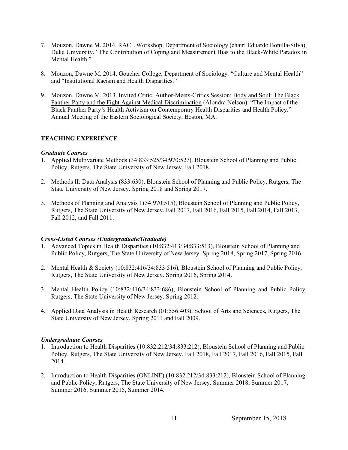- 7. Mouzon, Dawne M. 2014. RACE Workshop, Department of Sociology (chair: Eduardo Bonilla-Silva), Duke University. "The Contribution of Coping and Measurement Bias to the Black-White Paradox in Mental Health."
- 8. Mouzon, Dawne M. 2014. Goucher College, Department of Sociology. "Culture and Mental Health" and "Institutional Racism and Health Disparities."
- 9. Mouzon, Dawne M. 2013. Invited Critic, Author-Meets-Critics Session: Body and Soul: The Black Panther Party and the Fight Against Medical Discrimination (Alondra Nelson). "The Impact of the Black Panther Party's Health Activism on Contemporary Health Disparities and Health Policy." Annual Meeting of the Eastern Sociological Society, Boston, MA.

# **TEACHING EXPERIENCE**

### *Graduate Courses*

- 1. Applied Multivariate Methods (34:833:525/34:970:527). Bloustein School of Planning and Public Policy, Rutgers, The State University of New Jersey. Fall 2018.
- 2. Methods II: Data Analysis (833:630), Bloustein School of Planning and Public Policy, Rutgers, The State University of New Jersey. Spring 2018 and Spring 2017.
- 3. Methods of Planning and Analysis I (34:970:515), Bloustein School of Planning and Public Policy, Rutgers, The State University of New Jersey. Fall 2017, Fall 2016, Fall 2015, Fall 2014, Fall 2013, Fall 2012, and Fall 2011.

### *Cross-Listed Courses (Undergraduate/Graduate)*

- 1. Advanced Topics in Health Disparities (10:832:413/34:833:513), Bloustein School of Planning and Public Policy, Rutgers, The State University of New Jersey. Spring 2018, Spring 2017, Spring 2016.
- 2. Mental Health & Society (10:832:416/34:833:516), Bloustein School of Planning and Public Policy, Rutgers, The State University of New Jersey. Spring 2016, Spring 2014.
- 3. Mental Health Policy (10:832:416/34:833:686), Bloustein School of Planning and Public Policy, Rutgers, The State University of New Jersey. Spring 2012.
- 4. Applied Data Analysis in Health Research (01:556:403), School of Arts and Sciences, Rutgers, The State University of New Jersey. Spring 2011 and Fall 2009.

### *Undergraduate Courses*

- 1. Introduction to Health Disparities (10:832:212/34:833:212), Bloustein School of Planning and Public Policy, Rutgers, The State University of New Jersey. Fall 2018, Fall 2017, Fall 2016, Fall 2015, Fall 2014.
- 2. Introduction to Health Disparities (ONLINE) (10:832:212/34:833:212), Bloustein School of Planning and Public Policy, Rutgers, The State University of New Jersey. Summer 2018, Summer 2017, Summer 2016, Summer 2015, Summer 2014.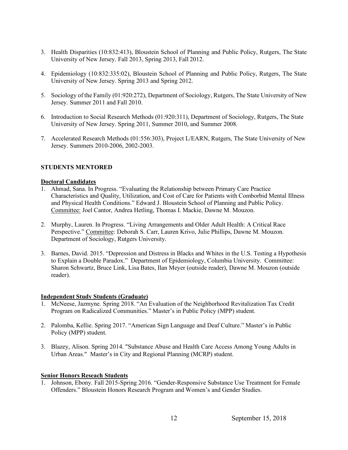- 3. Health Disparities (10:832:413), Bloustein School of Planning and Public Policy, Rutgers, The State University of New Jersey. Fall 2013, Spring 2013, Fall 2012.
- 4. Epidemiology (10:832:335:02), Bloustein School of Planning and Public Policy, Rutgers, The State University of New Jersey. Spring 2013 and Spring 2012.
- 5. Sociology of the Family (01:920:272), Department of Sociology, Rutgers, The State University of New Jersey. Summer 2011 and Fall 2010.
- 6. Introduction to Social Research Methods (01:920:311), Department of Sociology, Rutgers, The State University of New Jersey. Spring 2011, Summer 2010, and Summer 2008.
- 7. Accelerated Research Methods (01:556:303), Project L/EARN, Rutgers, The State University of New Jersey. Summers 2010-2006, 2002-2003.

## **STUDENTS MENTORED**

### **Doctoral Candidates**

- 1. Ahmad, Sana. In Progress. "Evaluating the Relationship between Primary Care Practice Characteristics and Quality, Utilization, and Cost of Care for Patients with Comborbid Mental Illness and Physical Health Conditions." Edward J. Bloustein School of Planning and Public Policy. Committee: Joel Cantor, Andrea Hetling, Thomas I. Mackie, Dawne M. Mouzon.
- 2. Murphy, Lauren. In Progress. "Living Arrangements and Older Adult Health: A Critical Race Perspective." Committee: Deborah S. Carr, Lauren Krivo, Julie Phillips, Dawne M. Mouzon. Department of Sociology, Rutgers University.
- 3. Barnes, David. 2015. "Depression and Distress in Blacks and Whites in the U.S. Testing a Hypothesis to Explain a Double Paradox." Department of Epidemiology, Columbia University. Committee: Sharon Schwartz, Bruce Link, Lisa Bates, Ilan Meyer (outside reader), Dawne M. Mouzon (outside reader).

### **Independent Study Students (Graduate)**

- 1. McNeese, Jazmyne. Spring 2018. "An Evaluation of the Neighborhood Revitalization Tax Credit Program on Radicalized Communities." Master's in Public Policy (MPP) student.
- 2. Palomba, Kellie. Spring 2017. "American Sign Language and Deaf Culture." Master's in Public Policy (MPP) student.
- 3. Blazey, Alison. Spring 2014. "Substance Abuse and Health Care Access Among Young Adults in Urban Areas." Master's in City and Regional Planning (MCRP) student.

#### **Senior Honors Reseach Students**

1. Johnson, Ebony. Fall 2015-Spring 2016. "Gender-Responsive Substance Use Treatment for Female Offenders." Bloustein Honors Research Program and Women's and Gender Studies.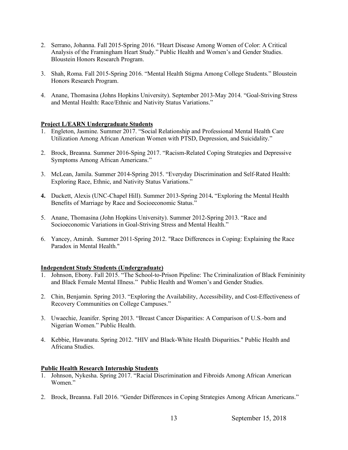- 2. Serrano, Johanna. Fall 2015-Spring 2016. "Heart Disease Among Women of Color: A Critical Analysis of the Framingham Heart Study." Public Health and Women's and Gender Studies. Bloustein Honors Research Program.
- 3. Shah, Roma. Fall 2015-Spring 2016. "Mental Health Stigma Among College Students." Bloustein Honors Research Program.
- 4. Anane, Thomasina (Johns Hopkins University). September 2013-May 2014. "Goal-Striving Stress and Mental Health: Race/Ethnic and Nativity Status Variations."

### **Project L/EARN Undergraduate Students**

- 1. Engleton, Jasmine. Summer 2017. "Social Relationship and Professional Mental Health Care Utilization Among African American Women with PTSD, Depression, and Suicidality."
- 2. Brock, Breanna. Summer 2016-Sping 2017. "Racism-Related Coping Strategies and Depressive Symptoms Among African Americans."
- 3. McLean, Jamila. Summer 2014-Spring 2015. "Everyday Discrimination and Self-Rated Health: Exploring Race, Ethnic, and Nativity Status Variations."
- **4.** Duckett, Alexis (UNC-Chapel Hill). Summer 2013-Spring 2014**.** "Exploring the Mental Health Benefits of Marriage by Race and Socioeconomic Status."
- 5. Anane, Thomasina (John Hopkins University). Summer 2012-Spring 2013. "Race and Socioeconomic Variations in Goal-Striving Stress and Mental Health."
- 6. Yancey, Amirah. Summer 2011-Spring 2012. "Race Differences in Coping: Explaining the Race Paradox in Mental Health."

# **Independent Study Students (Undergraduate)**

- 1. Johnson, Ebony. Fall 2015. "The School-to-Prison Pipeline: The Criminalization of Black Femininity and Black Female Mental Illness." Public Health and Women's and Gender Studies.
- 2. Chin, Benjamin. Spring 2013. "Exploring the Availability, Accessibility, and Cost-Effectiveness of Recovery Communities on College Campuses."
- 3. Uwaechie, Jeanifer. Spring 2013. "Breast Cancer Disparities: A Comparison of U.S.-born and Nigerian Women." Public Health.
- 4. Kebbie, Hawanatu. Spring 2012. "HIV and Black-White Health Disparities." Public Health and Africana Studies.

### **Public Health Research Internship Students**

- 1. Johnson, Nykesha. Spring 2017. "Racial Discrimination and Fibroids Among African American Women<sup>"</sup>
- 2. Brock, Breanna. Fall 2016. "Gender Differences in Coping Strategies Among African Americans."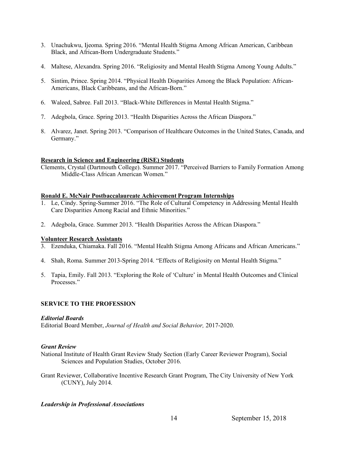- 3. Unachukwu, Ijeoma. Spring 2016. "Mental Health Stigma Among African American, Caribbean Black, and African-Born Undergraduate Students."
- 4. Maltese, Alexandra. Spring 2016. "Religiosity and Mental Health Stigma Among Young Adults."
- 5. Sintim, Prince. Spring 2014. "Physical Health Disparities Among the Black Population: African-Americans, Black Caribbeans, and the African-Born."
- 6. Waleed, Sabree. Fall 2013. "Black-White Differences in Mental Health Stigma."
- 7. Adegbola, Grace. Spring 2013. "Health Disparities Across the African Diaspora."
- 8. Alvarez, Janet. Spring 2013. "Comparison of Healthcare Outcomes in the United States, Canada, and Germany."

### **Research in Science and Engineering (RiSE) Students**

Clements, Crystal (Dartmouth College). Summer 2017. "Perceived Barriers to Family Formation Among Middle-Class African American Women."

### **Ronald E. McNair Postbaccalaureate Achievement Program Internships**

- 1. Le, Cindy. Spring-Summer 2016. "The Role of Cultural Competency in Addressing Mental Health Care Disparities Among Racial and Ethnic Minorities."
- 2. Adegbola, Grace. Summer 2013. "Health Disparities Across the African Diaspora."

### **Volunteer Research Assistants**

- 3. Ezenduka, Chiamaka. Fall 2016. "Mental Health Stigma Among Africans and African Americans."
- 4. Shah, Roma. Summer 2013-Spring 2014. "Effects of Religiosity on Mental Health Stigma."
- 5. Tapia, Emily. Fall 2013. "Exploring the Role of 'Culture' in Mental Health Outcomes and Clinical Processes."

# **SERVICE TO THE PROFESSION**

### *Editorial Boards*

Editorial Board Member, *Journal of Health and Social Behavior,* 2017-2020.

### *Grant Review*

- National Institute of Health Grant Review Study Section (Early Career Reviewer Program), Social Sciences and Population Studies, October 2016.
- Grant Reviewer, Collaborative Incentive Research Grant Program, The City University of New York (CUNY), July 2014.

# *Leadership in Professional Associations*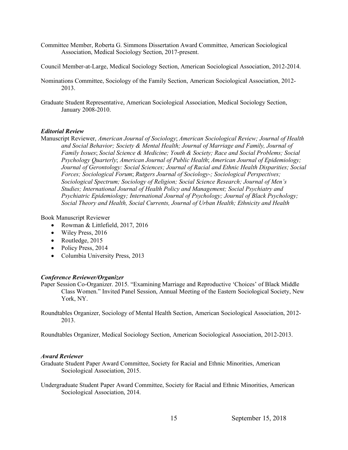- Committee Member, Roberta G. Simmons Dissertation Award Committee, American Sociological Association, Medical Sociology Section, 2017-present.
- Council Member-at-Large, Medical Sociology Section, American Sociological Association, 2012-2014.
- Nominations Committee, Sociology of the Family Section, American Sociological Association, 2012- 2013.
- Graduate Student Representative, American Sociological Association, Medical Sociology Section, January 2008-2010.

#### *Editorial Review*

Manuscript Reviewer, *American Journal of Sociology*; *American Sociological Review; Journal of Health and Social Behavior; Society & Mental Health; Journal of Marriage and Family, Journal of Family Issues*; *Social Science & Medicine; Youth & Society; Race and Social Problems; Social Psychology Quarterly*; *American Journal of Public Health*; *American Journal of Epidemiology; Journal of Gerontology: Social Sciences; Journal of Racial and Ethnic Health Disparities; Social Forces; Sociological Forum*; *Rutgers Journal of Sociology-; Sociological Perspectives; Sociological Spectrum; Sociology of Religion; Social Science Research; Journal of Men's Studies; International Journal of Health Policy and Management; Social Psychiatry and Psychiatric Epidemiology; International Journal of Psychology; Journal of Black Psychology; Social Theory and Health, Social Currents, Journal of Urban Health; Ethnicity and Health*

Book Manuscript Reviewer

- Rowman & Littlefield, 2017, 2016
- Wiley Press, 2016
- Routledge, 2015
- Policy Press, 2014
- Columbia University Press, 2013

### *Conference Reviewer/Organizer*

- Paper Session Co-Organizer. 2015. "Examining Marriage and Reproductive 'Choices' of Black Middle Class Women." Invited Panel Session, Annual Meeting of the Eastern Sociological Society, New York, NY.
- Roundtables Organizer, Sociology of Mental Health Section, American Sociological Association, 2012- 2013.

Roundtables Organizer, Medical Sociology Section, American Sociological Association, 2012-2013.

#### *Award Reviewer*

- Graduate Student Paper Award Committee, Society for Racial and Ethnic Minorities, American Sociological Association, 2015.
- Undergraduate Student Paper Award Committee, Society for Racial and Ethnic Minorities, American Sociological Association, 2014.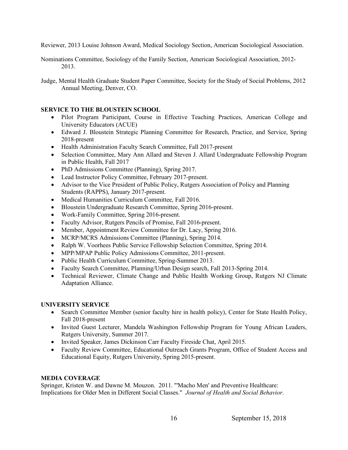Reviewer, 2013 Louise Johnson Award, Medical Sociology Section, American Sociological Association.

Nominations Committee, Sociology of the Family Section, American Sociological Association, 2012- 2013.

Judge, Mental Health Graduate Student Paper Committee, Society for the Study of Social Problems, 2012 Annual Meeting, Denver, CO.

# **SERVICE TO THE BLOUSTEIN SCHOOL**

- Pilot Program Participant, Course in Effective Teaching Practices, American College and University Educators (ACUE)
- Edward J. Bloustein Strategic Planning Committee for Research, Practice, and Service, Spring 2018-present
- Health Administration Faculty Search Committee, Fall 2017-present
- Selection Committee, Mary Ann Allard and Steven J. Allard Undergraduate Fellowship Program in Public Health, Fall 2017
- PhD Admissions Committee (Planning), Spring 2017.
- Lead Instructor Policy Committee, February 2017-present.
- Advisor to the Vice President of Public Policy, Rutgers Association of Policy and Planning Students (RAPPS), January 2017-present.
- Medical Humanities Curriculum Committee, Fall 2016.
- Bloustein Undergraduate Research Committee, Spring 2016-present.
- Work-Family Committee, Spring 2016-present.
- Faculty Advisor, Rutgers Pencils of Promise, Fall 2016-present.
- Member, Appointment Review Committee for Dr. Lacy, Spring 2016.
- MCRP/MCRS Admissions Committee (Planning), Spring 2014.
- Ralph W. Voorhees Public Service Fellowship Selection Committee, Spring 2014.
- MPP/MPAP Public Policy Admissions Committee, 2011-present.
- Public Health Curriculum Committee, Spring-Summer 2013.
- Faculty Search Committee, Planning/Urban Design search, Fall 2013-Spring 2014.
- Technical Reviewer, Climate Change and Public Health Working Group, Rutgers NJ Climate Adaptation Alliance.

# **UNIVERSITY SERVICE**

- Search Committee Member (senior faculty hire in health policy), Center for State Health Policy, Fall 2018-present
- Invited Guest Lecturer, Mandela Washington Fellowship Program for Young African Leaders, Rutgers University, Summer 2017.
- Invited Speaker, James Dickinson Carr Faculty Fireside Chat, April 2015.
- Faculty Review Committee, Educational Outreach Grants Program, Office of Student Access and Educational Equity, Rutgers University, Spring 2015-present.

# **MEDIA COVERAGE**

Springer, Kristen W. and Dawne M. Mouzon. 2011. "'Macho Men' and Preventive Healthcare: Implications for Older Men in Different Social Classes." *Journal of Health and Social Behavior.*